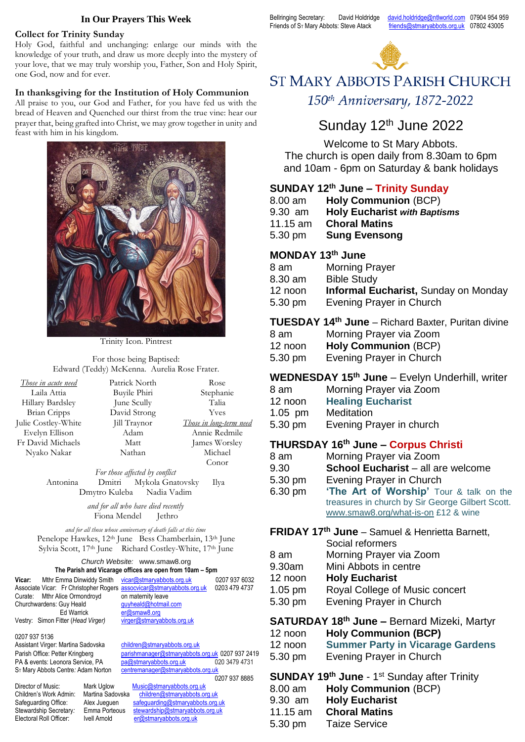#### **In Our Prayers This Week**

## **Collect for Trinity Sunday**

Holy God, faithful and unchanging: enlarge our minds with the knowledge of your truth, and draw us more deeply into the mystery of your love, that we may truly worship you, Father, Son and Holy Spirit, one God, now and for ever.

## **In thanksgiving for the Institution of Holy Communion**

All praise to you, our God and Father, for you have fed us with the bread of Heaven and Quenched our thirst from the true vine: hear our prayer that, being grafted into Christ, we may grow together in unity and feast with him in his kingdom.



Trinity Icon. Pintrest

For those being Baptised: Edward (Teddy) McKenna. Aurelia Rose Frater.

| Those in acute need | Patrick North | Rose                    |
|---------------------|---------------|-------------------------|
| Laila Attia         | Buyile Phiri  | Stephanie               |
| Hillary Bardsley    | June Scully   | Talia                   |
| <b>Brian Cripps</b> | David Strong  | <b>Yves</b>             |
| Julie Costley-White | Jill Traynor  | Those in long-term need |
| Evelyn Ellison      | Adam          | Annie Redmile           |
| Fr David Michaels   | Matt          | James Worsley           |
| Nyako Nakar         | Nathan        | Michael                 |
|                     |               | Conor                   |

*For those affected by conflict* Antonina Dmitri Mykola Gnatovsky Ilya Dmytro Kuleba Nadia Vadim

> *and for all who have died recently* Fiona Mendel Jethro

*and for all those whose anniversary of death falls at this time* Penelope Hawkes, 12<sup>th</sup> June Bess Chamberlain, 13<sup>th</sup> June Sylvia Scott, 17th June Richard Costley-White, 17th June

#### *Church Website:* www.smaw8.org **The Parish and Vicarage offices are open from 10am – 5pm**

| Vicar:                   | Mthr Emma Dinwiddy Smith vicar@stmaryabbots.org.uk |                                                                       | 0207 937 6032 |
|--------------------------|----------------------------------------------------|-----------------------------------------------------------------------|---------------|
|                          |                                                    | Associate Vicar: Fr Christopher Rogers assocvicar@stmaryabbots.org.uk | 0203 479 4737 |
|                          | Curate: Mthr Alice Ormondroyd                      | on maternity leave                                                    |               |
| Churchwardens: Guy Heald |                                                    | quyheald@hotmail.com                                                  |               |
|                          | Ed Warrick                                         | er@smaw8.org                                                          |               |
|                          | Vestry: Simon Fitter (Head Virger)                 | virger@stmaryabbots.org.uk                                            |               |
|                          |                                                    |                                                                       |               |

0207 937 5136

Assistant Virger: Martina Sadovska [children@stmaryabbots.org.uk](mailto:children@stmaryabbots.org.uk) Parish Office: Petter Kringberg [parishmanager@stmaryabbots.org.uk](mailto:parishmanager@stmaryabbots.org.uk) 0207 937 2419 ST Mary Abbots Centre: Adam Norton centremanager@stmaryabbots.org

Director of Music: Mark Uglow Children's Work Admin: Martina Sadovs Safeguarding Office: Alex Jueguen<br>Stewardship Secretary: Emma Porteou Stewardship Secretary: Emma Port<br>Electoral Roll Officer: lvell Arnold Electoral Roll Officer:

PA & events: Leonora Service, PA [pa@stmaryabbots.org.uk](mailto:pa@stmaryabbots.org.uk) 020 3479 4731 0207 937 8885

|     | <u>Music@stmarvappots.org.uk</u> |
|-----|----------------------------------|
| ska | children@stmarvabbots.org.uk     |
|     | safeguarding@stmarvabbots.org.uk |
| s   | stewardship@stmaryabbots.org.uk  |
|     | er@stmarvabbots.org.uk           |

Bellringing Secretary: David Holdridge [david.holdridge@ntlworld.com](mailto:david.holdridge@ntlworld.com) 07904 954 959 Friends of ST Mary Abbots: Steve Atack [friends@stmaryabbots.org.uk](mailto:friends@stmaryabbots.org.uk) 07802 43005



# **ST MARY ABBOTS PARISH CHURCH** 150th Anniversary, 1872-2022

# Sunday 12<sup>th</sup> June 2022

Welcome to St Mary Abbots.

The church is open daily from 8.30am to 6pm and 10am - 6pm on Saturday & bank holidays

# **SUNDAY 12th June – Trinity Sunday**

| 8.00 am           | <b>Holy Communion (BCP)</b>         |
|-------------------|-------------------------------------|
| 9.30 am           | <b>Holy Eucharist with Baptisms</b> |
| 11.15 $\text{nm}$ | <b>Choral Matins</b>                |
| 5.30 pm           | <b>Sung Evensong</b>                |
|                   |                                     |

## **MONDAY 13th June**

| 8 am    | <b>Morning Prayer</b>                       |
|---------|---------------------------------------------|
| 8.30 am | <b>Bible Study</b>                          |
| 12 noon | <b>Informal Eucharist, Sunday on Monday</b> |
| 5.30 pm | Evening Prayer in Church                    |
|         |                                             |

**TUESDAY 14th June** – Richard Baxter, Puritan divine

| 8 am    | Morning Prayer via Zoom     |
|---------|-----------------------------|
| 12 noon | <b>Holy Communion (BCP)</b> |

| 5.30 pm | Evening Prayer in Church |  |  |
|---------|--------------------------|--|--|

## **WEDNESDAY 15th June** – Evelyn Underhill, writer

- 8 am Morning Prayer via Zoom
- 12 noon **Healing Eucharist**
- 1.05 pm Meditation
- 5.30 pm Evening Prayer in church

## **THURSDAY 16th June – Corpus Christi**

- 8 am Morning Prayer via Zoom
- 9.30 **School Eucharist** all are welcome
- 5.30 pm Evening Prayer in Church
- 6.30 pm **'The Art of Worship'** Tour & talk on the treasures in church by Sir George Gilbert Scott. [www.smaw8.org/what-is-on](http://www.smaw8.org/what-is-on) £12 & wine

# **FRIDAY 17th June** – Samuel & Henrietta Barnett,

|           | Social reformers               |
|-----------|--------------------------------|
| 8 am      | Morning Prayer via Zoom        |
| 9.30am    | Mini Abbots in centre          |
| 12 noon   | <b>Holy Eucharist</b>          |
| $1.05$ pm | Royal College of Music concert |
| 5.30 pm   | Evening Prayer in Church       |

# **SATURDAY 18th June –** Bernard Mizeki, Martyr

- 12 noon **Summer Party in Vicarage Gardens**
- 5.30 pm Evening Prayer in Church
- **SUNDAY 19th June** 1 st Sunday after Trinity 8.00 am **Holy Communion** (BCP)
- 9.30 am **Holy Eucharist**
- 
- 11.15 am **Choral Matins**
- 5.30 pm Taize Service